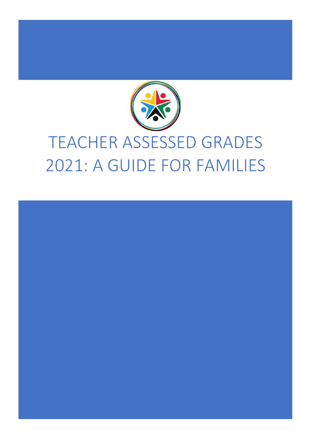

# TEACHER ASSESSED GRADES 2021: A GUIDE FOR FAMILIES

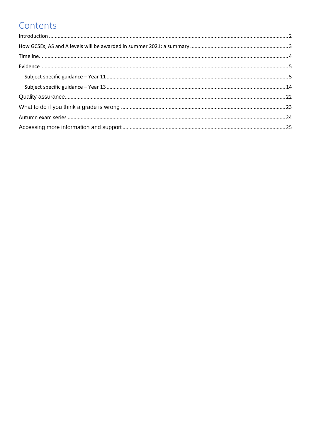# Contents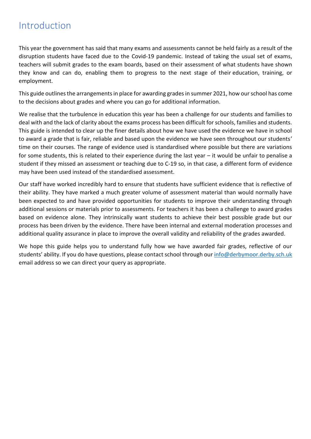# <span id="page-2-0"></span>Introduction

This year the government has said that many exams and assessments cannot be held fairly as a result of the disruption students have faced due to the Covid-19 pandemic. Instead of taking the usual set of exams, teachers will submit grades to the exam boards, based on their assessment of what students have shown they know and can do, enabling them to progress to the next stage of their education, training, or employment.

This guide outlines the arrangements in place for awarding grades in summer 2021, how our school has come to the decisions about grades and where you can go for additional information.

We realise that the turbulence in education this year has been a challenge for our students and families to deal with and the lack of clarity about the exams process has been difficult for schools, families and students. This guide is intended to clear up the finer details about how we have used the evidence we have in school to award a grade that is fair, reliable and based upon the evidence we have seen throughout our students' time on their courses. The range of evidence used is standardised where possible but there are variations for some students, this is related to their experience during the last year – it would be unfair to penalise a student if they missed an assessment or teaching due to C-19 so, in that case, a different form of evidence may have been used instead of the standardised assessment.

Our staff have worked incredibly hard to ensure that students have sufficient evidence that is reflective of their ability. They have marked a much greater volume of assessment material than would normally have been expected to and have provided opportunities for students to improve their understanding through additional sessions or materials prior to assessments. For teachers it has been a challenge to award grades based on evidence alone. They intrinsically want students to achieve their best possible grade but our process has been driven by the evidence. There have been internal and external moderation processes and additional quality assurance in place to improve the overall validity and reliability of the grades awarded.

We hope this guide helps you to understand fully how we have awarded fair grades, reflective of our students' ability. If you do have questions, please contact school through our [info@derbymoor.derby.sch.uk](mailto:info@derbymoor.derby.sch.uk) email address so we can direct your query as appropriate.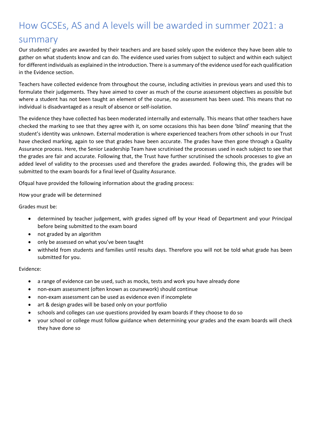# <span id="page-3-0"></span>How GCSEs, AS and A levels will be awarded in summer 2021: a summary

Our students' grades are awarded by their teachers and are based solely upon the evidence they have been able to gather on what students know and can do. The evidence used varies from subject to subject and within each subject for different individuals as explained in the introduction. There is a summary of the evidence used for each qualification in the Evidence section.

Teachers have collected evidence from throughout the course, including activities in previous years and used this to formulate their judgements. They have aimed to cover as much of the course assessment objectives as possible but where a student has not been taught an element of the course, no assessment has been used. This means that no individual is disadvantaged as a result of absence or self-isolation.

The evidence they have collected has been moderated internally and externally. This means that other teachers have checked the marking to see that they agree with it, on some occasions this has been done 'blind' meaning that the student's identity was unknown. External moderation is where experienced teachers from other schools in our Trust have checked marking, again to see that grades have been accurate. The grades have then gone through a Quality Assurance process. Here, the Senior Leadership Team have scrutinised the processes used in each subject to see that the grades are fair and accurate. Following that, the Trust have further scrutinised the schools processes to give an added level of validity to the processes used and therefore the grades awarded. Following this, the grades will be submitted to the exam boards for a final level of Quality Assurance.

Ofqual have provided the following information about the grading process:

How your grade will be determined

Grades must be:

- determined by teacher judgement, with grades signed off by your Head of Department and your Principal before being submitted to the exam board
- not graded by an algorithm
- only be assessed on what you've been taught
- withheld from students and families until results days. Therefore you will not be told what grade has been submitted for you.

Evidence:

- a range of evidence can be used, such as mocks, tests and work you have already done
- non-exam assessment (often known as coursework) should continue
- non-exam assessment can be used as evidence even if incomplete
- art & design grades will be based only on your portfolio
- schools and colleges can use questions provided by exam boards if they choose to do so
- your school or college must follow guidance when determining your grades and the exam boards will check they have done so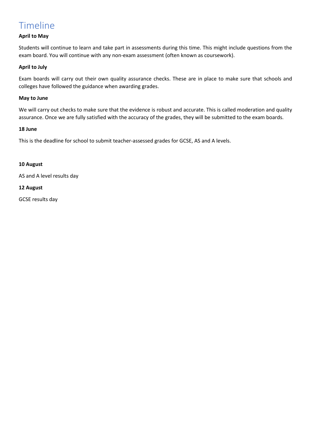# <span id="page-4-0"></span>Timeline

# **April to May**

Students will continue to learn and take part in assessments during this time. This might include questions from the exam board. You will continue with any non-exam assessment (often known as coursework).

# **April to July**

Exam boards will carry out their own quality assurance checks. These are in place to make sure that schools and colleges have followed the guidance when awarding grades.

### **May to June**

We will carry out checks to make sure that the evidence is robust and accurate. This is called moderation and quality assurance. Once we are fully satisfied with the accuracy of the grades, they will be submitted to the exam boards.

# **18 June**

This is the deadline for school to submit teacher-assessed grades for GCSE, AS and A levels.

# **10 August**

AS and A level results day

# **12 August**

GCSE results day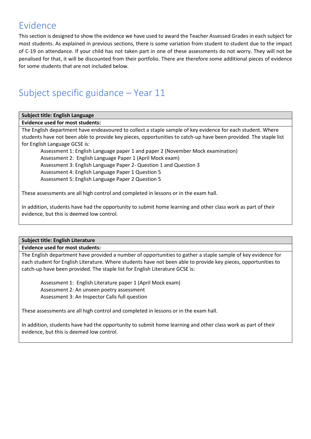# <span id="page-5-0"></span>Evidence

This section is designed to show the evidence we have used to award the Teacher Assessed Grades in each subject for most students. As explained in previous sections, there is some variation from student to student due to the impact of C-19 on attendance. If your child has not taken part in one of these assessments do not worry. They will not be penalised for that, it will be discounted from their portfolio. There are therefore some additional pieces of evidence for some students that are not included below.

# <span id="page-5-1"></span>Subject specific guidance – Year 11

# **Subject title: English Language**

# **Evidence used for most students:**

The English department have endeavoured to collect a staple sample of key evidence for each student. Where students have not been able to provide key pieces, opportunities to catch-up have been provided. The staple list for English Language GCSE is:

Assessment 1: English Language paper 1 and paper 2 (November Mock examination) Assessment 2: English Language Paper 1 (April Mock exam) Assessment 3: English Language Paper 2- Question 1 and Question 3 Assessment 4: English Language Paper 1 Question 5 Assessment 5: English Language Paper 2 Question 5

These assessments are all high control and completed in lessons or in the exam hall.

In addition, students have had the opportunity to submit home learning and other class work as part of their evidence, but this is deemed low control.

# **Subject title: English Literature**

# **Evidence used for most students:**

The English department have provided a number of opportunities to gather a staple sample of key evidence for each student for English Literature. Where students have not been able to provide key pieces, opportunities to catch-up have been provided. The staple list for English Literature GCSE is:

Assessment 1: English Literature paper 1 (April Mock exam) Assessment 2: An unseen poetry assessment Assessment 3: An Inspector Calls full question

These assessments are all high control and completed in lessons or in the exam hall.

In addition, students have had the opportunity to submit home learning and other class work as part of their evidence, but this is deemed low control.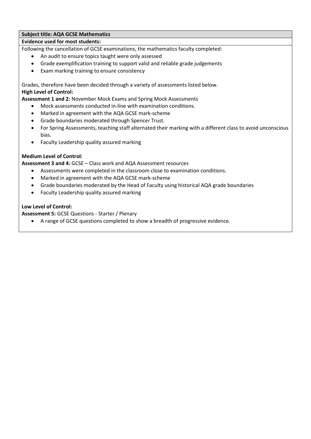# **Subject title: AQA GCSE Mathematics**

# **Evidence used for most students:**

Following the cancellation of GCSE examinations, the mathematics faculty completed:

- An audit to ensure topics taught were only assessed
- Grade exemplification training to support valid and reliable grade judgements
- Exam marking training to ensure consistency

Grades, therefore have been decided through a variety of assessments listed below. **High Level of Control:**

**Assessment 1 and 2:** November Mock Exams and Spring Mock Assessments

- Mock assessments conducted in-line with examination conditions.
- Marked in agreement with the AQA GCSE mark-scheme
- Grade boundaries moderated through Spencer Trust.
- For Spring Assessments, teaching staff alternated their marking with a different class to avoid unconscious bias.
- Faculty Leadership quality assured marking

# **Medium Level of Control:**

**Assessment 3 and 4:** GCSE – Class work and AQA Assessment resources

- Assessments were completed in the classroom close to examination conditions.
- Marked in agreement with the AQA GCSE mark-scheme
- Grade boundaries moderated by the Head of Faculty using historical AQA grade boundaries
- Faculty Leadership quality assured marking

# **Low Level of Control:**

**Assessment 5:** GCSE Questions - Starter / Plenary

A range of GCSE questions completed to show a breadth of progressive evidence.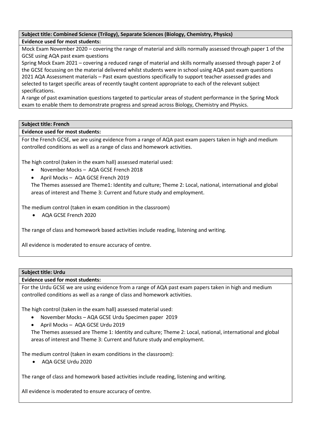# **Subject title: Combined Science (Trilogy), Separate Sciences (Biology, Chemistry, Physics) Evidence used for most students:**

Mock Exam November 2020 – covering the range of material and skills normally assessed through paper 1 of the GCSE using AQA past exam questions

Spring Mock Exam 2021 – covering a reduced range of material and skills normally assessed through paper 2 of the GCSE focussing on the material delivered whilst students were in school using AQA past exam questions 2021 AQA Assessment materials – Past exam questions specifically to support teacher assessed grades and selected to target specific areas of recently taught content appropriate to each of the relevant subject specifications.

A range of past examination questions targeted to particular areas of student performance in the Spring Mock exam to enable them to demonstrate progress and spread across Biology, Chemistry and Physics.

# **Subject title: French**

# **Evidence used for most students:**

For the French GCSE, we are using evidence from a range of AQA past exam papers taken in high and medium controlled conditions as well as a range of class and homework activities.

The high control (taken in the exam hall) assessed material used:

- November Mocks AQA GCSE French 2018
- April Mocks AQA GCSE French 2019

The Themes assessed are Theme1: Identity and culture; Theme 2: Local, national, international and global areas of interest and Theme 3: Current and future study and employment.

The medium control (taken in exam condition in the classroom)

AQA GCSE French 2020

The range of class and homework based activities include reading, listening and writing.

All evidence is moderated to ensure accuracy of centre.

# **Subject title: Urdu**

# **Evidence used for most students:**

For the Urdu GCSE we are using evidence from a range of AQA past exam papers taken in high and medium controlled conditions as well as a range of class and homework activities.

The high control (taken in the exam hall) assessed material used:

- November Mocks AQA GCSE Urdu Specimen paper 2019
- April Mocks AQA GCSE Urdu 2019

The Themes assessed are Theme 1: Identity and culture; Theme 2: Local, national, international and global areas of interest and Theme 3: Current and future study and employment.

The medium control (taken in exam conditions in the classroom):

AQA GCSE Urdu 2020

The range of class and homework based activities include reading, listening and writing.

All evidence is moderated to ensure accuracy of centre.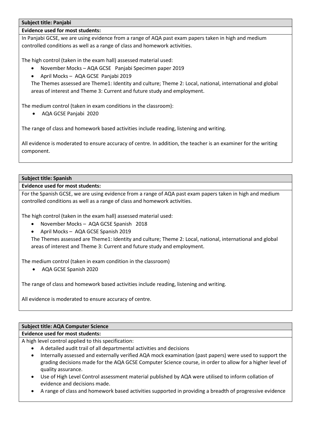## **Subject title: Panjabi**

# **Evidence used for most students:**

In Panjabi GCSE, we are using evidence from a range of AQA past exam papers taken in high and medium controlled conditions as well as a range of class and homework activities.

The high control (taken in the exam hall) assessed material used:

- November Mocks AQA GCSE Panjabi Specimen paper 2019
- April Mocks AQA GCSE Panjabi 2019

The Themes assessed are Theme1: Identity and culture; Theme 2: Local, national, international and global areas of interest and Theme 3: Current and future study and employment.

The medium control (taken in exam conditions in the classroom):

AQA GCSE Panjabi 2020

The range of class and homework based activities include reading, listening and writing.

All evidence is moderated to ensure accuracy of centre. In addition, the teacher is an examiner for the writing component.

# **Subject title: Spanish**

# **Evidence used for most students:**

For the Spanish GCSE, we are using evidence from a range of AQA past exam papers taken in high and medium controlled conditions as well as a range of class and homework activities.

The high control (taken in the exam hall) assessed material used:

- November Mocks AQA GCSE Spanish 2018
- April Mocks AQA GCSE Spanish 2019

The Themes assessed are Theme1: Identity and culture; Theme 2: Local, national, international and global areas of interest and Theme 3: Current and future study and employment.

The medium control (taken in exam condition in the classroom)

AQA GCSE Spanish 2020

The range of class and homework based activities include reading, listening and writing.

All evidence is moderated to ensure accuracy of centre.

# **Subject title: AQA Computer Science**

# **Evidence used for most students:**

A high level control applied to this specification:

- A detailed audit trail of all departmental activities and decisions
- Internally assessed and externally verified AQA mock examination (past papers) were used to support the grading decisions made for the AQA GCSE Computer Science course, in order to allow for a higher level of quality assurance.
- Use of High Level Control assessment material published by AQA were utilised to inform collation of evidence and decisions made.
- A range of class and homework based activities supported in providing a breadth of progressive evidence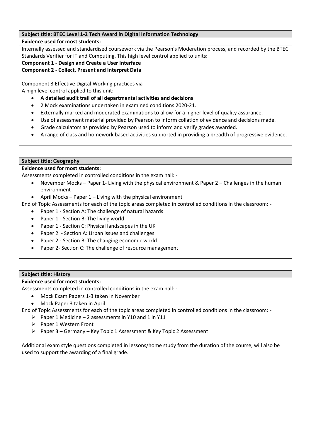# **Subject title: BTEC Level 1-2 Tech Award in Digital Information Technology**

# **Evidence used for most students:**

Internally assessed and standardised coursework via the Pearson's Moderation process, and recorded by the BTEC Standards Verifier for IT and Computing. This high level control applied to units:

**Component 1 - Design and Create a User Interface**

# **Component 2 - Collect, Present and Interpret Data**

Component 3 Effective Digital Working practices via A high level control applied to this unit:

- **A detailed audit trail of all departmental activities and decisions**
- 2 Mock examinations undertaken in examined conditions 2020-21.
- Externally marked and moderated examinations to allow for a higher level of quality assurance.
- Use of assessment material provided by Pearson to inform collation of evidence and decisions made.
- Grade calculators as provided by Pearson used to inform and verify grades awarded.
- A range of class and homework based activities supported in providing a breadth of progressive evidence.

# **Subject title: Geography**

# **Evidence used for most students:**

Assessments completed in controlled conditions in the exam hall: -

- November Mocks Paper 1- Living with the physical environment & Paper 2 Challenges in the human environment
- April Mocks Paper 1 Living with the physical environment

End of Topic Assessments for each of the topic areas completed in controlled conditions in the classroom: -

- Paper 1 Section A: The challenge of natural hazards
- Paper 1 Section B: The living world
- Paper 1 Section C: Physical landscapes in the UK
- Paper 2 Section A: Urban issues and challenges
- Paper 2 Section B: The changing economic world
- Paper 2- Section C: The challenge of resource management

# **Subject title: History**

# **Evidence used for most students:**

Assessments completed in controlled conditions in the exam hall: -

- Mock Exam Papers 1-3 taken in November
- Mock Paper 3 taken in April

End of Topic Assessments for each of the topic areas completed in controlled conditions in the classroom: -

- $\triangleright$  Paper 1 Medicine 2 assessments in Y10 and 1 in Y11
- $\triangleright$  Paper 1 Western Front
- $\triangleright$  Paper 3 Germany Key Topic 1 Assessment & Key Topic 2 Assessment

Additional exam style questions completed in lessons/home study from the duration of the course, will also be used to support the awarding of a final grade.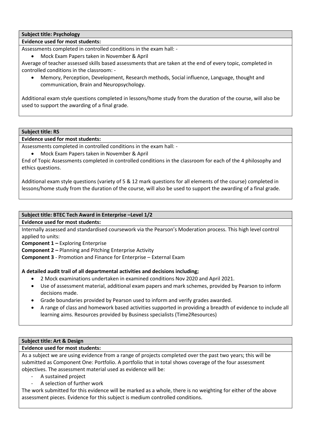# **Subject title: Psychology**

# **Evidence used for most students:**

Assessments completed in controlled conditions in the exam hall: -

Mock Exam Papers taken in November & April

Average of teacher assessed skills based assessments that are taken at the end of every topic, completed in controlled conditions in the classroom: -

 Memory, Perception, Development, Research methods, Social influence, Language, thought and communication, Brain and Neuropsychology.

Additional exam style questions completed in lessons/home study from the duration of the course, will also be used to support the awarding of a final grade.

### **Subject title: RS**

# **Evidence used for most students:**

Assessments completed in controlled conditions in the exam hall: -

Mock Exam Papers taken in November & April

End of Topic Assessments completed in controlled conditions in the classroom for each of the 4 philosophy and ethics questions.

Additional exam style questions (variety of 5 & 12 mark questions for all elements of the course) completed in lessons/home study from the duration of the course, will also be used to support the awarding of a final grade.

# **Subject title: BTEC Tech Award in Enterprise –Level 1/2**

**Evidence used for most students:**

Internally assessed and standardised coursework via the Pearson's Moderation process. This high level control applied to units:

**Component 1 –** Exploring Enterprise

**Component 2 –** Planning and Pitching Enterprise Activity

**Component 3** - Promotion and Finance for Enterprise – External Exam

# **A detailed audit trail of all departmental activities and decisions including;**

- 2 Mock examinations undertaken in examined conditions Nov 2020 and April 2021.
- Use of assessment material, additional exam papers and mark schemes, provided by Pearson to inform decisions made.
- Grade boundaries provided by Pearson used to inform and verify grades awarded.
- A range of class and homework based activities supported in providing a breadth of evidence to include all learning aims. Resources provided by Business specialists (Time2Resources)

# **Subject title: Art & Design**

### **Evidence used for most students:**

As a subject we are using evidence from a range of projects completed over the past two years; this will be submitted as Component One: Portfolio. A portfolio that in total shows coverage of the four assessment objectives. The assessment material used as evidence will be:

- A sustained project
- A selection of further work

The work submitted for this evidence will be marked as a whole, there is no weighting for either of the above assessment pieces. Evidence for this subject is medium controlled conditions.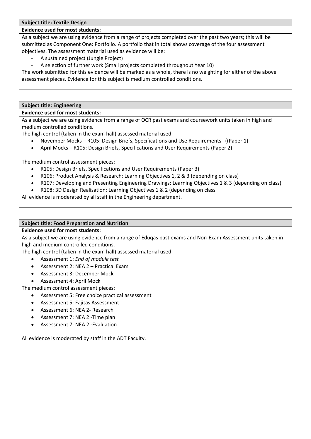#### **Subject title: Textile Design**

### **Evidence used for most students:**

As a subject we are using evidence from a range of projects completed over the past two years; this will be submitted as Component One: Portfolio. A portfolio that in total shows coverage of the four assessment objectives. The assessment material used as evidence will be:

- A sustained project (Jungle Project)
- A selection of further work (Small projects completed throughout Year 10)

The work submitted for this evidence will be marked as a whole, there is no weighting for either of the above assessment pieces. Evidence for this subject is medium controlled conditions.

#### **Subject title: Engineering**

#### **Evidence used for most students:**

As a subject we are using evidence from a range of OCR past exams and coursework units taken in high and medium controlled conditions.

The high control (taken in the exam hall) assessed material used:

- November Mocks R105: Design Briefs, Specifications and Use Requirements ((Paper 1)
- April Mocks R105: Design Briefs, Specifications and User Requirements (Paper 2)

The medium control assessment pieces:

- R105: Design Briefs, Specifications and User Requirements (Paper 3)
- R106: Product Analysis & Research; Learning Objectives 1, 2 & 3 (depending on class)
- R107: Developing and Presenting Engineering Drawings; Learning Objectives 1 & 3 (depending on class)
- R108: 3D Design Realisation; Learning Objectives 1 & 2 (depending on class

All evidence is moderated by all staff in the Engineering department.

# **Subject title: Food Preparation and Nutrition**

### **Evidence used for most students:**

As a subject we are using evidence from a range of Eduqas past exams and Non-Exam Assessment units taken in high and medium controlled conditions.

The high control (taken in the exam hall) assessed material used:

- Assessment 1: *End of module test*
- Assessment 2: NEA 2 Practical Exam
- Assessment 3: December Mock
- Assessment 4: April Mock

The medium control assessment pieces:

- Assessment 5: Free choice practical assessment
- Assessment 5: Fajitas Assessment
- Assessment 6: NEA 2- Research
- Assessment 7: NEA 2 -Time plan
- Assessment 7: NEA 2 -Evaluation

All evidence is moderated by staff in the ADT Faculty.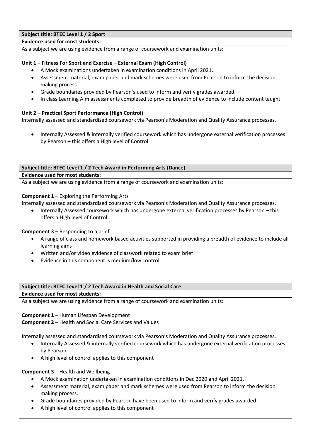# **Subject title: BTEC Level 1 / 2 Sport**

# **Evidence used for most students:**

As a subject we are using evidence from a range of coursework and examination units:

# **Unit 1 – Fitness For Sport and Exercise – External Exam (High Control)**

- A Mock examinations undertaken in examination conditions in April 2021.
- Assessment material, exam paper and mark schemes were used from Pearson to inform the decision making process.
- Grade boundaries provided by Pearson's used to inform and verify grades awarded.
- In class Learning Aim assessments completed to provide breadth of evidence to include content taught.

# **Unit 2 – Practical Sport Performance (High Control)**

Internally assessed and standardised coursework via Pearson's Moderation and Quality Assurance processes.

 Internally Assessed & internally verified coursework which has undergone external verification processes by Pearson – this offers a High level of Control

### **Subject title: BTEC Level 1 / 2 Tech Award in Performing Arts (Dance)**

#### **Evidence used for most students:**

As a subject we are using evidence from a range of coursework and examination units:

**Component 1** – Exploring the Performing Arts

Internally assessed and standardised coursework via Pearson's Moderation and Quality Assurance processes.

 Internally Assessed coursework which has undergone external verification processes by Pearson – this offers a High level of Control

**Component 3** – Responding to a brief

- A range of class and homework based activities supported in providing a breadth of evidence to include all learning aims
- Written and/or video evidence of classwork related to exam brief
- Evidence in this component is medium/low control.

### **Subject title: BTEC Level 1 / 2 Tech Award in Health and Social Care**

### **Evidence used for most students:**

As a subject we are using evidence from a range of coursework and examination units:

**Component 1** – Human Lifespan Development **Component 2** – Health and Social Care Services and Values

Internally assessed and standardised coursework via Pearson's Moderation and Quality Assurance processes.

- Internally Assessed & internally verified coursework which has undergone external verification processes by Pearson
- A high level of control applies to this component

# **Component 3** – Health and Wellbeing

- A Mock examination undertaken in examination conditions in Dec 2020 and April 2021.
- Assessment material, exam paper and mark schemes were used from Pearson to inform the decision making process.
- Grade boundaries provided by Pearson have been used to inform and verify grades awarded.
- A high level of control applies to this component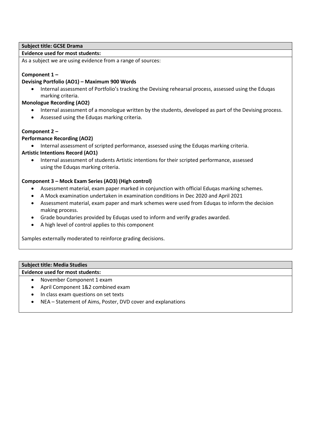# **Subject title: GCSE Drama**

# **Evidence used for most students:**

As a subject we are using evidence from a range of sources:

# **Component 1 –**

# **Devising Portfolio (AO1) – Maximum 900 Words**

 Internal assessment of Portfolio's tracking the Devising rehearsal process, assessed using the Eduqas marking criteria.

# **Monologue Recording (AO2)**

- Internal assessment of a monologue written by the students, developed as part of the Devising process.
- Assessed using the Eduqas marking criteria.

# **Component 2 –**

# **Performance Recording (AO2)**

Internal assessment of scripted performance, assessed using the Eduqas marking criteria.

# **Artistic Intentions Record (AO1)**

 Internal assessment of students Artistic intentions for their scripted performance, assessed using the Eduqas marking criteria.

# **Component 3 – Mock Exam Series (AO3) (High control)**

- Assessment material, exam paper marked in conjunction with official Eduqas marking schemes.
- A Mock examination undertaken in examination conditions in Dec 2020 and April 2021
- Assessment material, exam paper and mark schemes were used from Eduqas to inform the decision making process.
- Grade boundaries provided by Eduqas used to inform and verify grades awarded.
- A high level of control applies to this component

Samples externally moderated to reinforce grading decisions.

# **Subject title: Media Studies**

**Evidence used for most students:**

- November Component 1 exam
- April Component 1&2 combined exam
- In class exam questions on set texts
- NEA Statement of Aims, Poster, DVD cover and explanations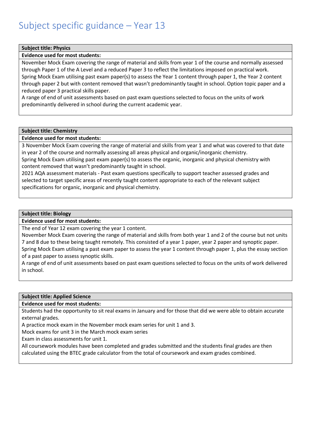### <span id="page-14-0"></span>**Subject title: Physics**

# **Evidence used for most students:**

November Mock Exam covering the range of material and skills from year 1 of the course and normally assessed through Paper 1 of the A Level and a reduced Paper 3 to reflect the limitations imposed on practical work. Spring Mock Exam utilising past exam paper(s) to assess the Year 1 content through paper 1, the Year 2 content through paper 2 but with content removed that wasn't predominantly taught in school. Option topic paper and a reduced paper 3 practical skills paper.

A range of end of unit assessments based on past exam questions selected to focus on the units of work predominantly delivered in school during the current academic year.

#### **Subject title: Chemistry**

### **Evidence used for most students:**

3 November Mock Exam covering the range of material and skills from year 1 and what was covered to that date in year 2 of the course and normally assessing all areas physical and organic/inorganic chemistry.

Spring Mock Exam utilising past exam paper(s) to assess the organic, inorganic and physical chemistry with content removed that wasn't predominantly taught in school.

2021 AQA assessment materials - Past exam questions specifically to support teacher assessed grades and selected to target specific areas of recently taught content appropriate to each of the relevant subject specifications for organic, inorganic and physical chemistry.

#### **Subject title: Biology**

**Evidence used for most students:**

The end of Year 12 exam covering the year 1 content.

November Mock Exam covering the range of material and skills from both year 1 and 2 of the course but not units 7 and 8 due to these being taught remotely. This consisted of a year 1 paper, year 2 paper and synoptic paper. Spring Mock Exam utilising a past exam paper to assess the year 1 content through paper 1, plus the essay section of a past paper to assess synoptic skills.

A range of end of unit assessments based on past exam questions selected to focus on the units of work delivered in school.

#### **Subject title: Applied Science**

### **Evidence used for most students:**

Students had the opportunity to sit real exams in January and for those that did we were able to obtain accurate external grades.

A practice mock exam in the November mock exam series for unit 1 and 3.

Mock exams for unit 3 in the March mock exam series

Exam in class assessments for unit 1.

All coursework modules have been completed and grades submitted and the students final grades are then calculated using the BTEC grade calculator from the total of coursework and exam grades combined.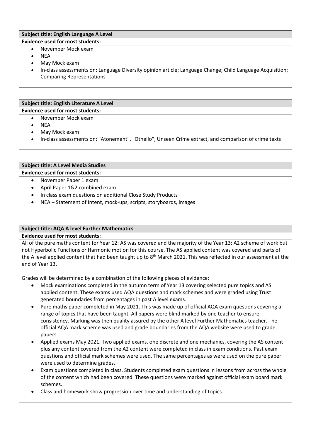### **Subject title: English Language A Level Evidence used for most students:**

# November Mock exam

- NEA
- May Mock exam
- In-class assessments on: Language Diversity opinion article; Language Change; Child Language Acquisition; Comparing Representations

#### **Subject title: English Literature A Level Evidence used for most students:**

- November Mock exam
	- NEA
	- May Mock exam
	- In-class assessments on: "Atonement", "Othello", Unseen Crime extract, and comparison of crime texts

# **Subject title: A Level Media Studies Evidence used for most students:**

November Paper 1 exam

- 
- April Paper 1&2 combined exam
- In class exam questions on additional Close Study Products
- NEA Statement of Intent, mock-ups, scripts, storyboards, images

# **Subject title: AQA A level Further Mathematics**

**Evidence used for most students:**

All of the pure maths content for Year 12: AS was covered and the majority of the Year 13: A2 scheme of work but not Hyperbolic Functions or Harmonic motion for this course. The AS applied content was covered and parts of the A level applied content that had been taught up to  $8<sup>th</sup>$  March 2021. This was reflected in our assessment at the end of Year 13.

Grades will be determined by a combination of the following pieces of evidence:

- Mock examinations completed in the autumn term of Year 13 covering selected pure topics and AS applied content. These exams used AQA questions and mark schemes and were graded using Trust generated boundaries from percentages in past A level exams.
- Pure maths paper completed in May 2021. This was made up of official AQA exam questions covering a range of topics that have been taught. All papers were blind marked by one teacher to ensure consistency. Marking was then quality assured by the other A level Further Mathematics teacher. The official AQA mark scheme was used and grade boundaries from the AQA website were used to grade papers.
- Applied exams May 2021. Two applied exams, one discrete and one mechanics, covering the AS content plus any content covered from the A2 content were completed in class in exam conditions. Past exam questions and official mark schemes were used. The same percentages as were used on the pure paper were used to determine grades.
- Exam questions completed in class. Students completed exam questions in lessons from across the whole of the content which had been covered. These questions were marked against official exam board mark schemes.
- Class and homework show progression over time and understanding of topics.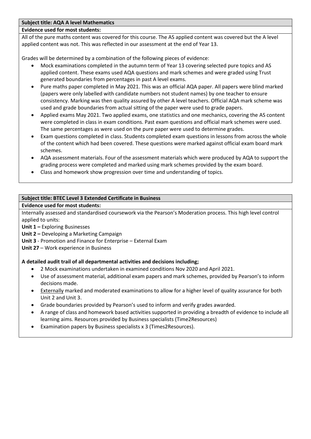# **Subject title: AQA A level Mathematics**

# **Evidence used for most students:**

All of the pure maths content was covered for this course. The AS applied content was covered but the A level applied content was not. This was reflected in our assessment at the end of Year 13.

Grades will be determined by a combination of the following pieces of evidence:

- Mock examinations completed in the autumn term of Year 13 covering selected pure topics and AS applied content. These exams used AQA questions and mark schemes and were graded using Trust generated boundaries from percentages in past A level exams.
- Pure maths paper completed in May 2021. This was an official AQA paper. All papers were blind marked (papers were only labelled with candidate numbers not student names) by one teacher to ensure consistency. Marking was then quality assured by other A level teachers. Official AQA mark scheme was used and grade boundaries from actual sitting of the paper were used to grade papers.
- Applied exams May 2021. Two applied exams, one statistics and one mechanics, covering the AS content were completed in class in exam conditions. Past exam questions and official mark schemes were used. The same percentages as were used on the pure paper were used to determine grades.
- Exam questions completed in class. Students completed exam questions in lessons from across the whole of the content which had been covered. These questions were marked against official exam board mark schemes.
- AQA assessment materials. Four of the assessment materials which were produced by AQA to support the grading process were completed and marked using mark schemes provided by the exam board.
- Class and homework show progression over time and understanding of topics.

# **Subject title: BTEC Level 3 Extended Certificate in Business**

# **Evidence used for most students:**

Internally assessed and standardised coursework via the Pearson's Moderation process. This high level control applied to units:

**Unit 1 –** Exploring Businesses

- **Unit 2 –** Developing a Marketing Campaign
- **Unit 3** Promotion and Finance for Enterprise External Exam

**Unit 27** – Work experience in Business

# **A detailed audit trail of all departmental activities and decisions including;**

- 2 Mock examinations undertaken in examined conditions Nov 2020 and April 2021.
- Use of assessment material, additional exam papers and mark schemes, provided by Pearson's to inform decisions made.
- Externally marked and moderated examinations to allow for a higher level of quality assurance for both Unit 2 and Unit 3.
- Grade boundaries provided by Pearson's used to inform and verify grades awarded.
- A range of class and homework based activities supported in providing a breadth of evidence to include all learning aims. Resources provided by Business specialists (Time2Resources)
- Examination papers by Business specialists x 3 (Times2Resources).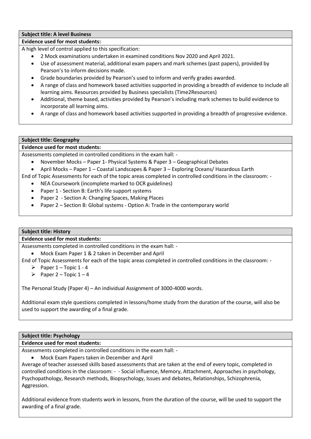# **Subject title: A level Business**

# **Evidence used for most students:**

A high level of control applied to this specification:

- 2 Mock examinations undertaken in examined conditions Nov 2020 and April 2021.
- Use of assessment material, additional exam papers and mark schemes (past papers), provided by Pearson's to inform decisions made.
- Grade boundaries provided by Pearson's used to inform and verify grades awarded.
- A range of class and homework based activities supported in providing a breadth of evidence to include all learning aims. Resources provided by Business specialists (Time2Resources)
- Additional, theme based, activities provided by Pearson's including mark schemes to build evidence to incorporate all learning aims.
- A range of class and homework based activities supported in providing a breadth of progressive evidence.

# **Subject title: Geography**

# **Evidence used for most students:**

Assessments completed in controlled conditions in the exam hall: -

- November Mocks Paper 1- Physical Systems & Paper 3 Geographical Debates
- April Mocks Paper 1 Coastal Landscapes & Paper 3 Exploring Oceans/ Hazardous Earth

End of Topic Assessments for each of the topic areas completed in controlled conditions in the classroom: -

- NEA Coursework (incomplete marked to OCR guidelines)
- Paper 1 Section B: Earth's life support systems
- Paper 2 Section A: Changing Spaces, Making Places
- Paper 2 Section B: Global systems Option A: Trade in the contemporary world

# **Subject title: History**

# **Evidence used for most students:**

Assessments completed in controlled conditions in the exam hall: -

Mock Exam Paper 1 & 2 taken in December and April

End of Topic Assessments for each of the topic areas completed in controlled conditions in the classroom: -

- Paper  $1$  Topic  $1 4$
- Paper 2 Topic  $1 4$

The Personal Study (Paper 4) – An individual Assignment of 3000-4000 words.

Additional exam style questions completed in lessons/home study from the duration of the course, will also be used to support the awarding of a final grade.

# **Subject title: Psychology**

# **Evidence used for most students:**

Assessments completed in controlled conditions in the exam hall: -

Mock Exam Papers taken in December and April

Average of teacher assessed skills based assessments that are taken at the end of every topic, completed in controlled conditions in the classroom: - - Social influence, Memory, Attachment, Approaches in psychology, Psychopathology, Research methods, Biopsychology, Issues and debates, Relationships, Schizophrenia, Aggression.

Additional evidence from students work in lessons, from the duration of the course, will be used to support the awarding of a final grade.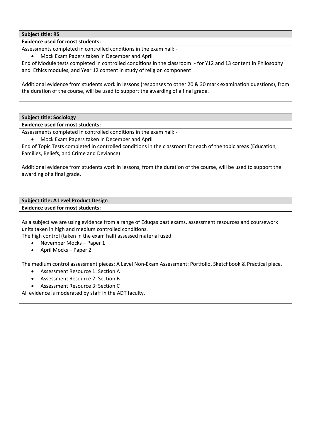# **Subject title: RS**

# **Evidence used for most students:**

Assessments completed in controlled conditions in the exam hall: -

Mock Exam Papers taken in December and April

End of Module tests completed in controlled conditions in the classroom: - for Y12 and 13 content in Philosophy and Ethics modules, and Year 12 content in study of religion component

Additional evidence from students work in lessons (responses to other 20 & 30 mark examination questions), from the duration of the course, will be used to support the awarding of a final grade.

**Subject title: Sociology**

### **Evidence used for most students:**

Assessments completed in controlled conditions in the exam hall: -

Mock Exam Papers taken in December and April

End of Topic Tests completed in controlled conditions in the classroom for each of the topic areas (Education, Families, Beliefs, and Crime and Deviance)

Additional evidence from students work in lessons, from the duration of the course, will be used to support the awarding of a final grade.

#### **Subject title: A Level Product Design Evidence used for most students:**

As a subject we are using evidence from a range of Eduqas past exams, assessment resources and coursework units taken in high and medium controlled conditions.

The high control (taken in the exam hall) assessed material used:

- November Mocks Paper 1
- April Mocks Paper 2

The medium control assessment pieces: A Level Non-Exam Assessment: Portfolio, Sketchbook & Practical piece.

- Assessment Resource 1: Section A
- Assessment Resource 2: Section B
- Assessment Resource 3: Section C

All evidence is moderated by staff in the ADT faculty.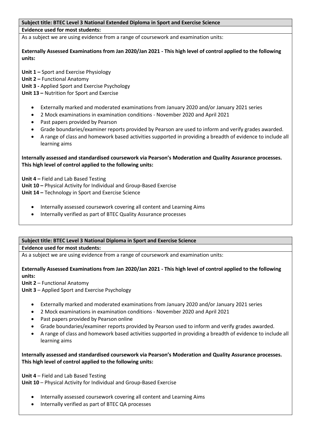### **Subject title: BTEC Level 3 National Extended Diploma in Sport and Exercise Science**

#### **Evidence used for most students:**

As a subject we are using evidence from a range of coursework and examination units:

**Externally Assessed Examinations from Jan 2020/Jan 2021 - This high level of control applied to the following units:**

**Unit 1 –** Sport and Exercise Physiology

**Unit 2 –** Functional Anatomy

**Unit 3 -** Applied Sport and Exercise Psychology

**Unit 13 –** Nutrition for Sport and Exercise

- Externally marked and moderated examinations from January 2020 and/or January 2021 series
- 2 Mock examinations in examination conditions November 2020 and April 2021
- Past papers provided by Pearson
- Grade boundaries/examiner reports provided by Pearson are used to inform and verify grades awarded.
- A range of class and homework based activities supported in providing a breadth of evidence to include all learning aims

# **Internally assessed and standardised coursework via Pearson's Moderation and Quality Assurance processes. This high level of control applied to the following units:**

**Unit 4 –** Field and Lab Based Testing **Unit 10 –** Physical Activity for Individual and Group-Based Exercise **Unit 14 –** Technology in Sport and Exercise Science

- Internally assessed coursework covering all content and Learning Aims
- Internally verified as part of BTEC Quality Assurance processes

### **Subject title: BTEC Level 3 National Diploma in Sport and Exercise Science**

## **Evidence used for most students:**

As a subject we are using evidence from a range of coursework and examination units:

**Externally Assessed Examinations from Jan 2020/Jan 2021 - This high level of control applied to the following units:**

**Unit 2** – Functional Anatomy

**Unit 3** – Applied Sport and Exercise Psychology

- Externally marked and moderated examinations from January 2020 and/or January 2021 series
- 2 Mock examinations in examination conditions November 2020 and April 2021
- Past papers provided by Pearson online
- Grade boundaries/examiner reports provided by Pearson used to inform and verify grades awarded.
- A range of class and homework based activities supported in providing a breadth of evidence to include all learning aims

# **Internally assessed and standardised coursework via Pearson's Moderation and Quality Assurance processes. This high level of control applied to the following units:**

**Unit 4** – Field and Lab Based Testing **Unit 10** – Physical Activity for Individual and Group-Based Exercise

- Internally assessed coursework covering all content and Learning Aims
- Internally verified as part of BTEC QA processes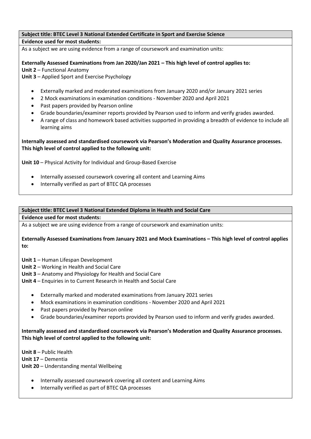# **Subject title: BTEC Level 3 National Extended Certificate in Sport and Exercise Science Evidence used for most students:**

As a subject we are using evidence from a range of coursework and examination units:

**Externally Assessed Examinations from Jan 2020/Jan 2021 – This high level of control applies to: Unit 2** – Functional Anatomy

**Unit 3** – Applied Sport and Exercise Psychology

- Externally marked and moderated examinations from January 2020 and/or January 2021 series
- 2 Mock examinations in examination conditions November 2020 and April 2021
- Past papers provided by Pearson online
- Grade boundaries/examiner reports provided by Pearson used to inform and verify grades awarded.
- A range of class and homework based activities supported in providing a breadth of evidence to include all learning aims

# **Internally assessed and standardised coursework via Pearson's Moderation and Quality Assurance processes. This high level of control applied to the following unit:**

**Unit 10** – Physical Activity for Individual and Group-Based Exercise

- Internally assessed coursework covering all content and Learning Aims
- Internally verified as part of BTEC QA processes

# **Subject title: BTEC Level 3 National Extended Diploma in Health and Social Care**

**Evidence used for most students:**

As a subject we are using evidence from a range of coursework and examination units:

### **Externally Assessed Examinations from January 2021 and Mock Examinations – This high level of control applies to:**

- **Unit 1** Human Lifespan Development
- **Unit 2** Working in Health and Social Care
- **Unit 3** Anatomy and Physiology for Health and Social Care
- **Unit 4** Enquiries in to Current Research in Health and Social Care
	- Externally marked and moderated examinations from January 2021 series
	- Mock examinations in examination conditions November 2020 and April 2021
	- Past papers provided by Pearson online
	- Grade boundaries/examiner reports provided by Pearson used to inform and verify grades awarded.

# **Internally assessed and standardised coursework via Pearson's Moderation and Quality Assurance processes. This high level of control applied to the following unit:**

**Unit 8** – Public Health **Unit 17** – Dementia **Unit 20** – Understanding mental Wellbeing

- Internally assessed coursework covering all content and Learning Aims
- Internally verified as part of BTEC QA processes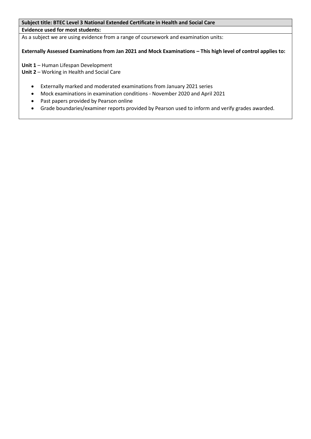# **Subject title: BTEC Level 3 National Extended Certificate in Health and Social Care**

# **Evidence used for most students:**

As a subject we are using evidence from a range of coursework and examination units:

**Externally Assessed Examinations from Jan 2021 and Mock Examinations – This high level of control applies to:**

**Unit 1** – Human Lifespan Development

**Unit 2** – Working in Health and Social Care

- Externally marked and moderated examinations from January 2021 series
- Mock examinations in examination conditions November 2020 and April 2021
- Past papers provided by Pearson online
- <span id="page-21-0"></span>Grade boundaries/examiner reports provided by Pearson used to inform and verify grades awarded.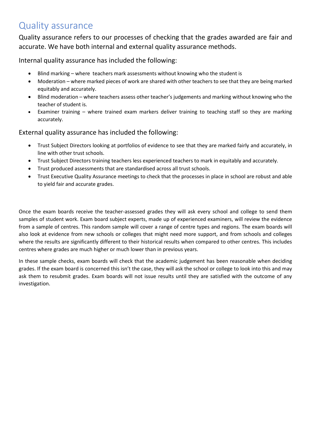# Quality assurance

Quality assurance refers to our processes of checking that the grades awarded are fair and accurate. We have both internal and external quality assurance methods.

Internal quality assurance has included the following:

- Blind marking where teachers mark assessments without knowing who the student is
- Moderation where marked pieces of work are shared with other teachers to see that they are being marked equitably and accurately.
- Blind moderation where teachers assess other teacher's judgements and marking without knowing who the teacher of student is.
- Examiner training where trained exam markers deliver training to teaching staff so they are marking accurately.

External quality assurance has included the following:

- Trust Subject Directors looking at portfolios of evidence to see that they are marked fairly and accurately, in line with other trust schools.
- Trust Subject Directors training teachers less experienced teachers to mark in equitably and accurately.
- Trust produced assessments that are standardised across all trust schools.
- Trust Executive Quality Assurance meetings to check that the processes in place in school are robust and able to yield fair and accurate grades.

Once the exam boards receive the teacher-assessed grades they will ask every school and college to send them samples of student work. Exam board subject experts, made up of experienced examiners, will review the evidence from a sample of centres. This random sample will cover a range of centre types and regions. The exam boards will also look at evidence from new schools or colleges that might need more support, and from schools and colleges where the results are significantly different to their historical results when compared to other centres. This includes centres where grades are much higher or much lower than in previous years.

In these sample checks, exam boards will check that the academic judgement has been reasonable when deciding grades. If the exam board is concerned this isn't the case, they will ask the school or college to look into this and may ask them to resubmit grades. Exam boards will not issue results until they are satisfied with the outcome of any investigation.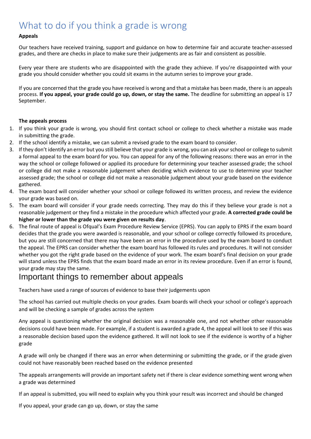# <span id="page-23-0"></span>What to do if you think a grade is wrong

### **Appeals**

Our teachers have received training, support and guidance on how to determine fair and accurate teacher-assessed grades, and there are checks in place to make sure their judgements are as fair and consistent as possible.

Every year there are students who are disappointed with the grade they achieve. If you're disappointed with your grade you should consider whether you could sit exams in the autumn series to improve your grade.

If you are concerned that the grade you have received is wrong and that a mistake has been made, there is an appeals process. **If you appeal, your grade could go up, down, or stay the same.** The deadline for submitting an appeal is 17 September.

### **The appeals process**

- 1. If you think your grade is wrong, you should first contact school or college to check whether a mistake was made in submitting the grade.
- 2. If the school identify a mistake, we can submit a revised grade to the exam board to consider.
- 3. If they don't identify an error but you still believe that your grade is wrong, you can ask your school or college to submit a formal appeal to the exam board for you. You can appeal for any of the following reasons: there was an error in the way the school or college followed or applied its procedure for determining your teacher assessed grade; the school or college did not make a reasonable judgement when deciding which evidence to use to determine your teacher assessed grade; the school or college did not make a reasonable judgement about your grade based on the evidence gathered.
- 4. The exam board will consider whether your school or college followed its written process, and review the evidence your grade was based on.
- 5. The exam board will consider if your grade needs correcting. They may do this if they believe your grade is not a reasonable judgement or they find a mistake in the procedure which affected your grade. **A corrected grade could be higher or lower than the grade you were given on results day**.
- 6. The final route of appeal is Ofqual's Exam Procedure Review Service (EPRS). You can apply to EPRS if the exam board decides that the grade you were awarded is reasonable, and your school or college correctly followed its procedure, but you are still concerned that there may have been an error in the procedure used by the exam board to conduct the appeal. The EPRS can consider whether the exam board has followed its rules and procedures. It will not consider whether you got the right grade based on the evidence of your work. The exam board's final decision on your grade will stand unless the EPRS finds that the exam board made an error in its review procedure. Even if an error is found, your grade may stay the same.

# Important things to remember about appeals

Teachers have used a range of sources of evidence to base their judgements upon

The school has carried out multiple checks on your grades. Exam boards will check your school or college's approach and will be checking a sample of grades across the system

Any appeal is questioning whether the original decision was a reasonable one, and not whether other reasonable decisions could have been made. For example, if a student is awarded a grade 4, the appeal will look to see if this was a reasonable decision based upon the evidence gathered. It will not look to see if the evidence is worthy of a higher grade

A grade will only be changed if there was an error when determining or submitting the grade, or if the grade given could not have reasonably been reached based on the evidence presented

The appeals arrangements will provide an important safety net if there is clear evidence something went wrong when a grade was determined

If an appeal is submitted, you will need to explain why you think your result was incorrect and should be changed

If you appeal, your grade can go up, down, or stay the same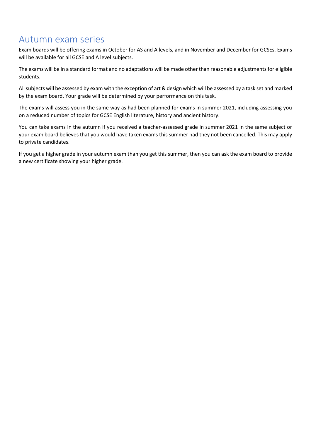# <span id="page-24-0"></span>Autumn exam series

Exam boards will be offering exams in October for AS and A levels, and in November and December for GCSEs. Exams will be available for all GCSE and A level subjects.

The exams will be in a standard format and no adaptations will be made other than reasonable adjustments for eligible students.

All subjects will be assessed by exam with the exception of art & design which will be assessed by a task set and marked by the exam board. Your grade will be determined by your performance on this task.

The exams will assess you in the same way as had been planned for exams in summer 2021, including assessing you on a reduced number of topics for GCSE English literature, history and ancient history.

You can take exams in the autumn if you received a teacher-assessed grade in summer 2021 in the same subject or your exam board believes that you would have taken exams this summer had they not been cancelled. This may apply to private candidates.

If you get a higher grade in your autumn exam than you get this summer, then you can ask the exam board to provide a new certificate showing your higher grade.